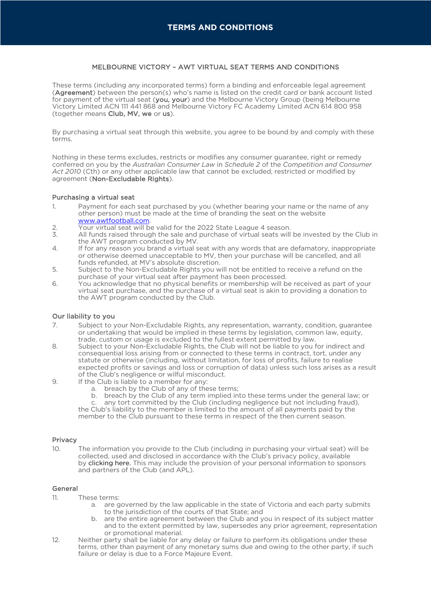## MELBOURNE VICTORY – AWT VIRTUAL SEAT TERMS AND CONDITIONS

These terms (including any incorporated terms) form a binding and enforceable legal agreement (Agreement) between the person(s) who's name is listed on the credit card or bank account listed for payment of the virtual seat (you, your) and the Melbourne Victory Group (being Melbourne Victory Limited ACN 111 441 868 and Melbourne Victory FC Academy Limited ACN 614 800 958 (together means Club, MV, we or us).

By purchasing a virtual seat through this website, you agree to be bound by and comply with these terms.

Nothing in these terms excludes, restricts or modifies any consumer guarantee, right or remedy conferred on you by the *Australian Consumer Law* in *Schedule 2* of the *Competition and Consumer Act 2010* (Cth) or any other applicable law that cannot be excluded, restricted or modified by agreement (Non-Excludable Rights).

#### Purchasing a virtual seat

- 1. Payment for each seat purchased by you (whether bearing your name or the name of any other person) must be made at the time of branding the seat on the website www.awtfootball.com.
- 2. Your virtual seat will be valid for the 2022 State League 4 season.<br>3. All funds raised through the sale and purchase of virtual seats will
- All funds raised through the sale and purchase of virtual seats will be invested by the Club in the AWT program conducted by MV.
- 4. If for any reason you brand a virtual seat with any words that are defamatory, inappropriate or otherwise deemed unacceptable to MV, then your purchase will be cancelled, and all funds refunded, at MV's absolute discretion.
- 5. Subject to the Non-Excludable Rights you will not be entitled to receive a refund on the purchase of your virtual seat after payment has been processed.
- 6. You acknowledge that no physical benefits or membership will be received as part of your virtual seat purchase, and the purchase of a virtual seat is akin to providing a donation to the AWT program conducted by the Club.

# Our liability to you

- 7. Subject to your Non-Excludable Rights, any representation, warranty, condition, guarantee or undertaking that would be implied in these terms by legislation, common law, equity, trade, custom or usage is excluded to the fullest extent permitted by law.
- 8. Subject to your Non-Excludable Rights, the Club will not be liable to you for indirect and consequential loss arising from or connected to these terms in contract, tort, under any statute or otherwise (including, without limitation, for loss of profits, failure to realise expected profits or savings and loss or corruption of data) unless such loss arises as a result of the Club's negligence or wilful misconduct.
- 9. If the Club is liable to a member for any:
	- a. breach by the Club of any of these terms;<br>b. breach by the Club of any term implied in
	- breach by the Club of any term implied into these terms under the general law; or

any tort committed by the Club (including negligence but not including fraud), the Club's liability to the member is limited to the amount of all payments paid by the member to the Club pursuant to these terms in respect of the then current season.

## Privacy

10. The information you provide to the Club (including in purchasing your virtual seat) will be collected, used and disclosed in accordance with the Club's privacy policy, available by clicking here. This may include the provision of your personal information to sponsors and partners of the Club (and APL).

#### General

- 11. These terms:
	- a. are governed by the law applicable in the state of Victoria and each party submits to the jurisdiction of the courts of that State; and
	- b. are the entire agreement between the Club and you in respect of its subject matter and to the extent permitted by law, supersedes any prior agreement, representation or promotional material.
- 12. Neither party shall be liable for any delay or failure to perform its obligations under these terms, other than payment of any monetary sums due and owing to the other party, if such failure or delay is due to a Force Majeure Event.